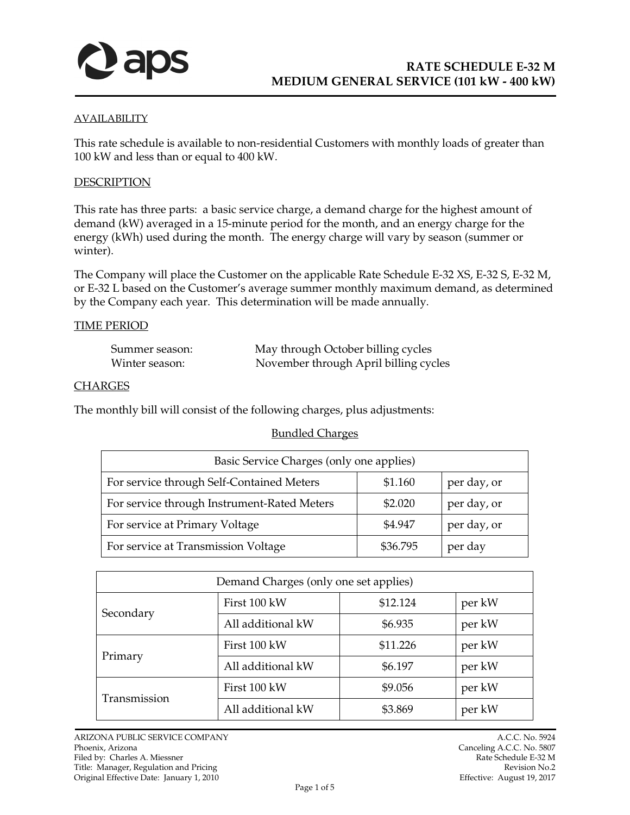

### **AVAILABILITY**

This rate schedule is available to non-residential Customers with monthly loads of greater than 100 kW and less than or equal to 400 kW.

#### *<sup>U</sup>*DESCRIPTION

This rate has three parts: a basic service charge, a demand charge for the highest amount of demand (kW) averaged in a 15-minute period for the month, and an energy charge for the energy (kWh) used during the month. The energy charge will vary by season (summer or winter).

The Company will place the Customer on the applicable Rate Schedule E-32 XS, E-32 S, E-32 M, or E-32 L based on the Customer's average summer monthly maximum demand, as determined by the Company each year. This determination will be made annually.

### **TIME PERIOD**

| Summer season: | May through October billing cycles    |
|----------------|---------------------------------------|
| Winter season: | November through April billing cycles |

### *<sup>U</sup>*CHARGES

The monthly bill will consist of the following charges, plus adjustments:

### **Bundled Charges**

| Basic Service Charges (only one applies)    |          |             |
|---------------------------------------------|----------|-------------|
| For service through Self-Contained Meters   | \$1.160  | per day, or |
| For service through Instrument-Rated Meters | \$2.020  | per day, or |
| For service at Primary Voltage              | \$4.947  | per day, or |
| For service at Transmission Voltage         | \$36.795 | per day     |

| Demand Charges (only one set applies) |                   |          |        |
|---------------------------------------|-------------------|----------|--------|
| Secondary                             | First 100 kW      | \$12.124 | per kW |
|                                       | All additional kW | \$6.935  | per kW |
| Primary                               | First 100 kW      | \$11.226 | per kW |
|                                       | All additional kW | \$6.197  | per kW |
| Transmission                          | First 100 kW      | \$9.056  | per kW |
|                                       | All additional kW | \$3.869  | per kW |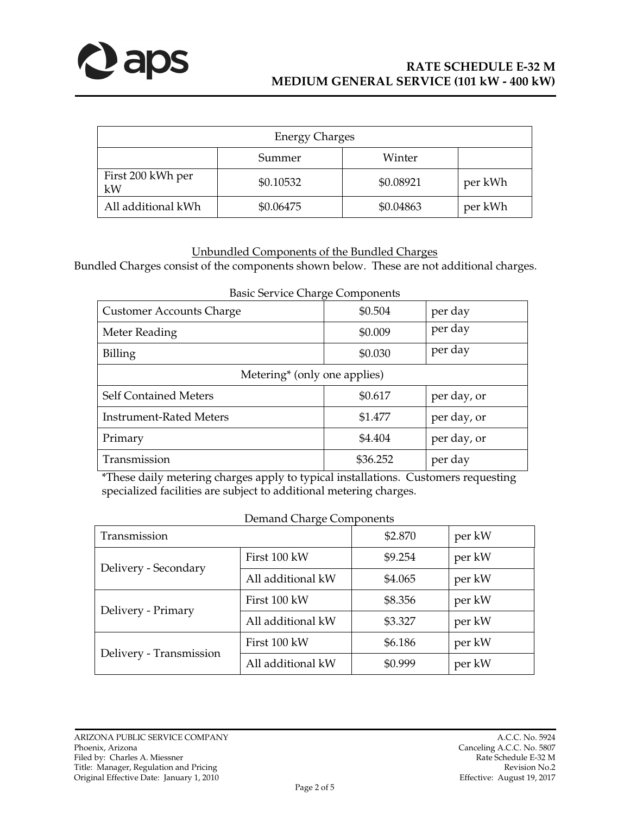

| <b>Energy Charges</b>   |           |           |         |
|-------------------------|-----------|-----------|---------|
|                         | Summer    | Winter    |         |
| First 200 kWh per<br>kW | \$0.10532 | \$0.08921 | per kWh |
| All additional kWh      | \$0.06475 | \$0.04863 | per kWh |

# **Unbundled Components of the Bundled Charges**

Bundled Charges consist of the components shown below. These are not additional charges.

| basic betyree Charge Components          |          |             |  |
|------------------------------------------|----------|-------------|--|
| <b>Customer Accounts Charge</b>          | \$0.504  | per day     |  |
| Meter Reading                            | \$0.009  | per day     |  |
| Billing                                  | \$0.030  | per day     |  |
| Metering <sup>*</sup> (only one applies) |          |             |  |
| <b>Self Contained Meters</b>             | \$0.617  | per day, or |  |
| <b>Instrument-Rated Meters</b>           | \$1.477  | per day, or |  |
| Primary                                  | \$4.404  | per day, or |  |
| Transmission                             | \$36.252 | per day     |  |

Basic Service Charge Components

\*These daily metering charges apply to typical installations. Customers requesting specialized facilities are subject to additional metering charges.

| <b>Demand Charge Components</b> |                   |         |        |
|---------------------------------|-------------------|---------|--------|
| Transmission                    |                   | \$2.870 | per kW |
| Delivery - Secondary            | First 100 kW      | \$9.254 | per kW |
|                                 | All additional kW | \$4.065 | per kW |
| Delivery - Primary              | First 100 kW      | \$8.356 | per kW |
|                                 | All additional kW | \$3.327 | per kW |
| Delivery - Transmission         | First 100 kW      | \$6.186 | per kW |
|                                 | All additional kW | \$0.999 | per kW |

Original Effective Date: January 1, 2010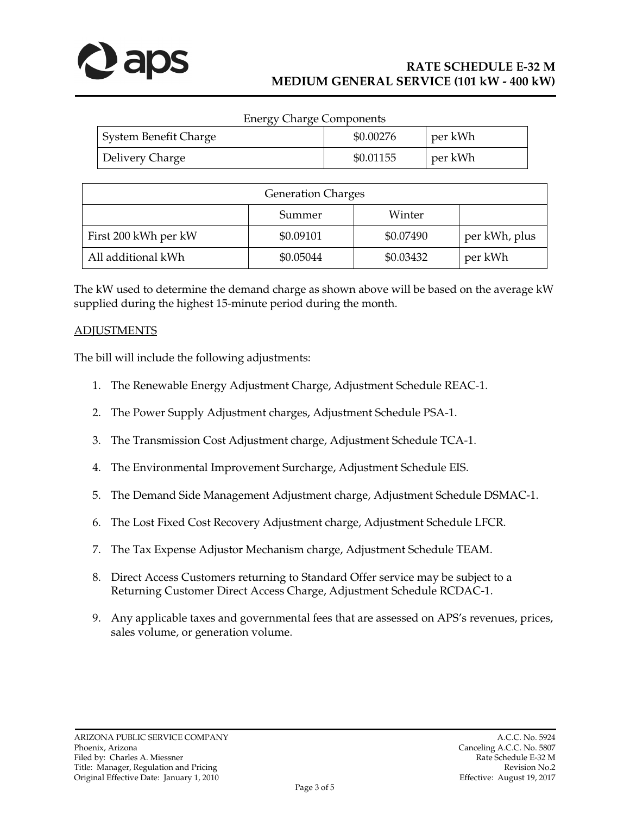

| <b>Energy Charge Components</b> |           |         |
|---------------------------------|-----------|---------|
| System Benefit Charge           | \$0.00276 | per kWh |
| Delivery Charge                 | \$0.01155 | per kWh |

| <b>Generation Charges</b> |           |           |               |
|---------------------------|-----------|-----------|---------------|
|                           | Summer    | Winter    |               |
| First 200 kWh per kW      | \$0.09101 | \$0.07490 | per kWh, plus |
| All additional kWh        | \$0.05044 | \$0.03432 | per kWh       |

The kW used to determine the demand charge as shown above will be based on the average kW supplied during the highest 15-minute period during the month.

## **ADJUSTMENTS**

The bill will include the following adjustments:

- 1. The Renewable Energy Adjustment Charge, Adjustment Schedule REAC-1.
- 2. The Power Supply Adjustment charges, Adjustment Schedule PSA-1.
- 3. The Transmission Cost Adjustment charge, Adjustment Schedule TCA-1.
- 4. The Environmental Improvement Surcharge, Adjustment Schedule EIS.
- 5. The Demand Side Management Adjustment charge, Adjustment Schedule DSMAC-1.
- 6. The Lost Fixed Cost Recovery Adjustment charge, Adjustment Schedule LFCR.
- 7. The Tax Expense Adjustor Mechanism charge, Adjustment Schedule TEAM.
- 8. Direct Access Customers returning to Standard Offer service may be subject to a Returning Customer Direct Access Charge, Adjustment Schedule RCDAC-1.
- 9. Any applicable taxes and governmental fees that are assessed on APS's revenues, prices, sales volume, or generation volume.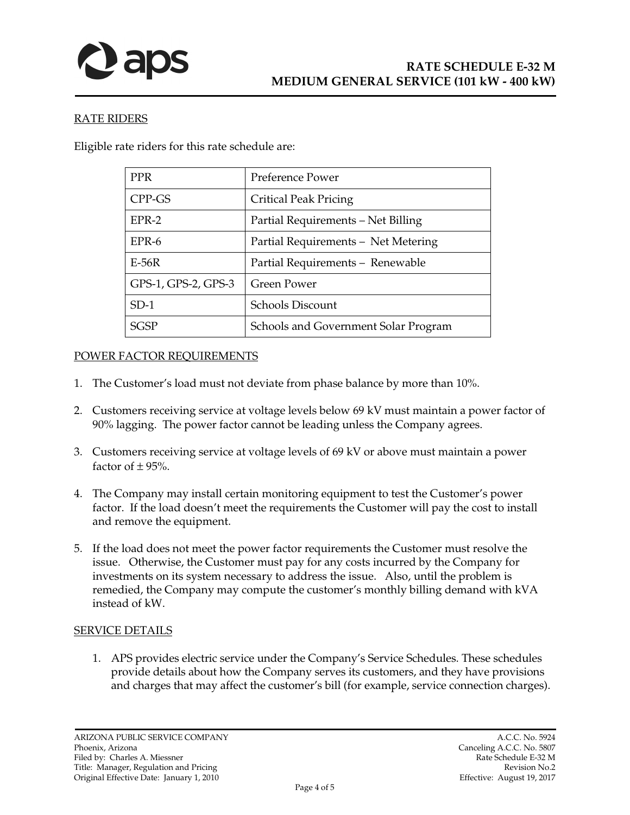

## **RATE RIDERS**

Eligible rate riders for this rate schedule are:

| <b>PPR</b>          | <b>Preference Power</b>              |
|---------------------|--------------------------------------|
| CPP-GS              | <b>Critical Peak Pricing</b>         |
| $EPR-2$             | Partial Requirements - Net Billing   |
| EPR-6               | Partial Requirements - Net Metering  |
| $E-56R$             | Partial Requirements - Renewable     |
| GPS-1, GPS-2, GPS-3 | Green Power                          |
| $SD-1$              | <b>Schools Discount</b>              |
| <b>SGSP</b>         | Schools and Government Solar Program |

## POWER FACTOR REQUIREMENTS

- 1. The Customer's load must not deviate from phase balance by more than 10%.
- 2. Customers receiving service at voltage levels below 69 kV must maintain a power factor of 90% lagging. The power factor cannot be leading unless the Company agrees.
- 3. Customers receiving service at voltage levels of 69 kV or above must maintain a power factor of  $\pm$  95%.
- 4. The Company may install certain monitoring equipment to test the Customer's power factor. If the load doesn't meet the requirements the Customer will pay the cost to install and remove the equipment.
- 5. If the load does not meet the power factor requirements the Customer must resolve the issue. Otherwise, the Customer must pay for any costs incurred by the Company for investments on its system necessary to address the issue. Also, until the problem is remedied, the Company may compute the customer's monthly billing demand with kVA instead of kW.

### **SERVICE DETAILS**

1. APS provides electric service under the Company's Service Schedules. These schedules provide details about how the Company serves its customers, and they have provisions and charges that may affect the customer's bill (for example, service connection charges).